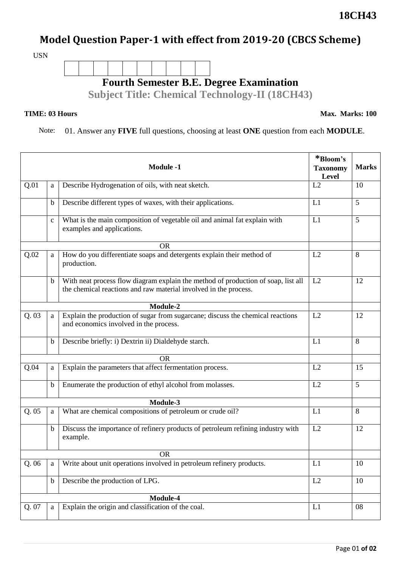## **Model Question Paper-1 with effect from 2019-20 (CBCS Scheme)**

USN



## **TIME: 03 Hours**

**Max. Marks: 100**

Note: 01. Answer any **FIVE** full questions, choosing at least **ONE** question from each **MODULE**.

| <b>Module -1</b> |              |                                                                                                                                                       | *Bloom's<br><b>Taxonomy</b><br>Level | <b>Marks</b> |  |
|------------------|--------------|-------------------------------------------------------------------------------------------------------------------------------------------------------|--------------------------------------|--------------|--|
| Q.01             | a            | Describe Hydrogenation of oils, with neat sketch.                                                                                                     | L2                                   | 10           |  |
|                  | b            | Describe different types of waxes, with their applications.                                                                                           | L1                                   | 5            |  |
|                  | $\mathbf{C}$ | What is the main composition of vegetable oil and animal fat explain with<br>examples and applications.                                               | L1                                   | 5            |  |
|                  |              | <b>OR</b>                                                                                                                                             |                                      |              |  |
| Q.02             | a            | How do you differentiate soaps and detergents explain their method of<br>production.                                                                  | L2                                   | 8            |  |
|                  | $\mathbf b$  | With neat process flow diagram explain the method of production of soap, list all<br>the chemical reactions and raw material involved in the process. | L2                                   | 12           |  |
| Module-2         |              |                                                                                                                                                       |                                      |              |  |
| Q.03             | a            | Explain the production of sugar from sugarcane; discuss the chemical reactions<br>and economics involved in the process.                              | L2                                   | 12           |  |
|                  | $\mathbf b$  | Describe briefly: i) Dextrin ii) Dialdehyde starch.                                                                                                   | L1                                   | 8            |  |
|                  |              | <b>OR</b>                                                                                                                                             |                                      |              |  |
| Q.04             | a            | Explain the parameters that affect fermentation process.                                                                                              | L2                                   | 15           |  |
|                  | b            | Enumerate the production of ethyl alcohol from molasses.                                                                                              | L2                                   | 5            |  |
| Module-3         |              |                                                                                                                                                       |                                      |              |  |
| Q.05             | a            | What are chemical compositions of petroleum or crude oil?                                                                                             | L1                                   | 8            |  |
|                  | $\mathbf b$  | Discuss the importance of refinery products of petroleum refining industry with<br>example.                                                           | L2                                   | 12           |  |
|                  | <b>OR</b>    |                                                                                                                                                       |                                      |              |  |
| Q.06             | a            | Write about unit operations involved in petroleum refinery products.                                                                                  | L1                                   | 10           |  |
|                  | $\mathbf b$  | Describe the production of LPG.                                                                                                                       | L2                                   | 10           |  |
| Module-4         |              |                                                                                                                                                       |                                      |              |  |
| Q. 07            | a            | Explain the origin and classification of the coal.                                                                                                    | L1                                   | 08           |  |